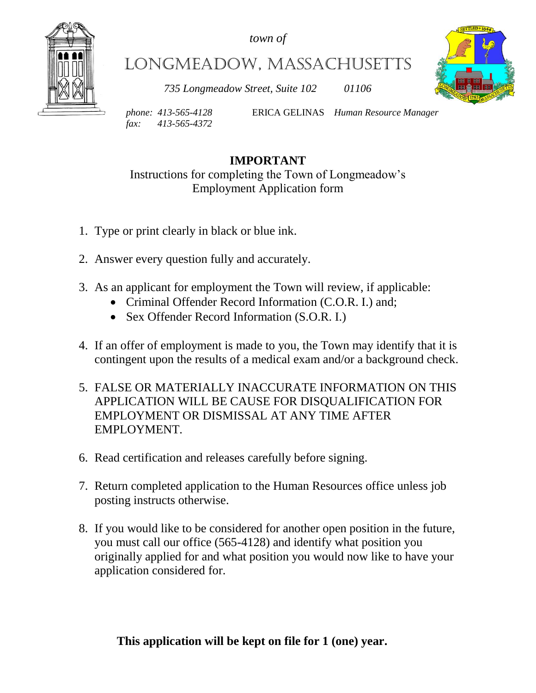*town of*



Longmeadow, Massachusetts

*735 Longmeadow Street, Suite 102 01106*



*fax: 413-565-4372*

*phone: 413-565-4128* ERICA GELINAS *Human Resource Manager*

# **IMPORTANT**

Instructions for completing the Town of Longmeadow's Employment Application form

- 1. Type or print clearly in black or blue ink.
- 2. Answer every question fully and accurately.
- 3. As an applicant for employment the Town will review, if applicable:
	- Criminal Offender Record Information (C.O.R. I.) and;
	- Sex Offender Record Information (S.O.R. I.)
- 4. If an offer of employment is made to you, the Town may identify that it is contingent upon the results of a medical exam and/or a background check.
- 5. FALSE OR MATERIALLY INACCURATE INFORMATION ON THIS APPLICATION WILL BE CAUSE FOR DISQUALIFICATION FOR EMPLOYMENT OR DISMISSAL AT ANY TIME AFTER EMPLOYMENT.
- 6. Read certification and releases carefully before signing.
- 7. Return completed application to the Human Resources office unless job posting instructs otherwise.
- 8. If you would like to be considered for another open position in the future, you must call our office (565-4128) and identify what position you originally applied for and what position you would now like to have your application considered for.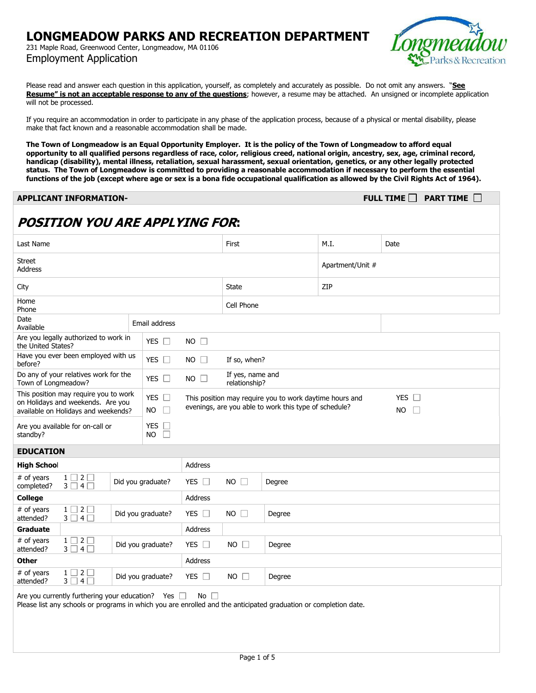231 Maple Road, Greenwood Center, Longmeadow, MA 01106 Employment Application



Please read and answer each question in this application, yourself, as completely and accurately as possible. Do not omit any answers. "**See Resume" is not an acceptable response to any of the questions**; however, a resume may be attached. An unsigned or incomplete application will not be processed.

If you require an accommodation in order to participate in any phase of the application process, because of a physical or mental disability, please make that fact known and a reasonable accommodation shall be made.

**The Town of Longmeadow is an Equal Opportunity Employer. It is the policy of the Town of Longmeadow to afford equal opportunity to all qualified persons regardless of race, color, religious creed, national origin, ancestry, sex, age, criminal record, handicap (disability), mental illness, retaliation, sexual harassment, sexual orientation, genetics, or any other legally protected status. The Town of Longmeadow is committed to providing a reasonable accommodation if necessary to perform the essential functions of the job (except where age or sex is a bona fide occupational qualification as allowed by the Civil Rights Act of 1964).**

| <b>PART TIME</b> $\Box$<br>FULL TIME $\square$<br><b>APPLICANT INFORMATION-</b>                                                                                                   |                                                                                                                                                               |                                       |                       |                                   |  |  |  |  |  |
|-----------------------------------------------------------------------------------------------------------------------------------------------------------------------------------|---------------------------------------------------------------------------------------------------------------------------------------------------------------|---------------------------------------|-----------------------|-----------------------------------|--|--|--|--|--|
| <b>POSITION YOU ARE APPLYING FOR:</b>                                                                                                                                             |                                                                                                                                                               |                                       |                       |                                   |  |  |  |  |  |
| Last Name                                                                                                                                                                         | First                                                                                                                                                         |                                       | M.I.                  | Date                              |  |  |  |  |  |
| <b>Street</b><br><b>Address</b>                                                                                                                                                   |                                                                                                                                                               |                                       | Apartment/Unit #      |                                   |  |  |  |  |  |
| City                                                                                                                                                                              | <b>State</b>                                                                                                                                                  |                                       | ZIP                   |                                   |  |  |  |  |  |
| Home<br>Phone                                                                                                                                                                     |                                                                                                                                                               |                                       | Cell Phone            |                                   |  |  |  |  |  |
| Date<br>Available                                                                                                                                                                 | Email address                                                                                                                                                 |                                       |                       |                                   |  |  |  |  |  |
| Are you legally authorized to work in<br>the United States?                                                                                                                       | YES $\Box$                                                                                                                                                    | $NO$ $\Box$                           |                       |                                   |  |  |  |  |  |
| Have you ever been employed with us<br>before?                                                                                                                                    | YES $\square$                                                                                                                                                 | $NO \Box$                             | If so, when?          |                                   |  |  |  |  |  |
| Do any of your relatives work for the<br>Town of Longmeadow?                                                                                                                      | YES $\Box$<br>$NO \Box$                                                                                                                                       |                                       |                       | If yes, name and<br>relationship? |  |  |  |  |  |
| This position may require you to work<br>on Holidays and weekends. Are you<br>available on Holidays and weekends?                                                                 | YES $\Box$<br>This position may require you to work daytime hours and<br>evenings, are you able to work this type of schedule?<br><b>NO</b><br>$\mathbb{R}^n$ |                                       |                       |                                   |  |  |  |  |  |
| Are you available for on-call or<br>standby?                                                                                                                                      |                                                                                                                                                               |                                       |                       |                                   |  |  |  |  |  |
| <b>EDUCATION</b>                                                                                                                                                                  |                                                                                                                                                               |                                       |                       |                                   |  |  |  |  |  |
| <b>High School</b>                                                                                                                                                                |                                                                                                                                                               | <b>Address</b>                        |                       |                                   |  |  |  |  |  |
| $1 \square 2 \square$<br># of years<br>Did you graduate?<br>$3 \square 4 \square$<br>completed?                                                                                   |                                                                                                                                                               | YES $\Box$<br>NO.<br>$\Box$<br>Degree |                       |                                   |  |  |  |  |  |
| <b>College</b>                                                                                                                                                                    |                                                                                                                                                               | Address                               |                       |                                   |  |  |  |  |  |
| # of years<br>$1 \square 2 \square$<br>Did you graduate?<br>$3 \square 4 \square$<br>attended?                                                                                    |                                                                                                                                                               | $YES$ $\Box$                          | $NO$ $\Box$<br>Degree |                                   |  |  |  |  |  |
| Graduate                                                                                                                                                                          |                                                                                                                                                               | Address                               |                       |                                   |  |  |  |  |  |
| # of years<br>$1 \square 2 \square$<br>Did you graduate?<br>attended?<br>$3 \square 4 \square$                                                                                    |                                                                                                                                                               | YES $\Box$                            | $NO$ $\Box$<br>Degree |                                   |  |  |  |  |  |
| <b>Other</b>                                                                                                                                                                      |                                                                                                                                                               | Address                               |                       |                                   |  |  |  |  |  |
| # of years<br>$1 \square 2 \square$<br>$3 \square 4 \square$<br>attended?                                                                                                         | Did you graduate?                                                                                                                                             | YES $\Box$                            | $NO \Box$             | Degree                            |  |  |  |  |  |
| Are you currently furthering your education? Yes $\Box$<br>No<br>Please list any schools or programs in which you are enrolled and the anticipated graduation or completion date. |                                                                                                                                                               |                                       |                       |                                   |  |  |  |  |  |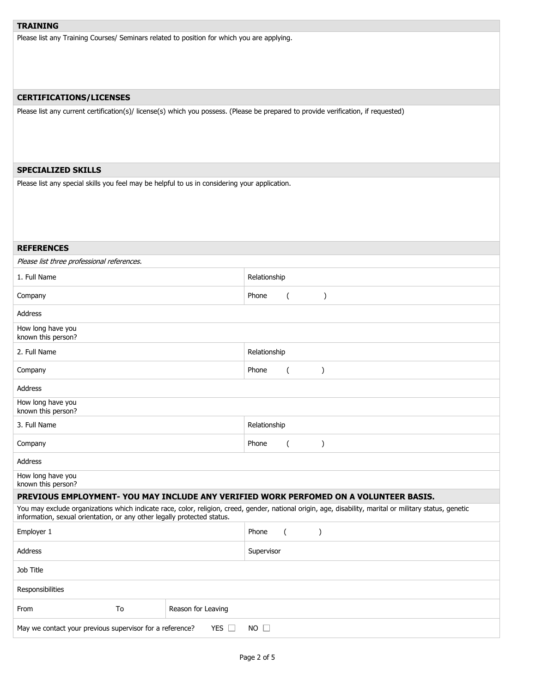# **TRAINING**

Please list any Training Courses/ Seminars related to position for which you are applying.

## **CERTIFICATIONS/LICENSES**

Please list any current certification(s)/ license(s) which you possess. (Please be prepared to provide verification, if requested)

## **SPECIALIZED SKILLS**

Please list any special skills you feel may be helpful to us in considering your application.

| <b>REFERENCES</b>                                                                                                                                                                                                                   |  |  |              |                          |               |  |  |  |
|-------------------------------------------------------------------------------------------------------------------------------------------------------------------------------------------------------------------------------------|--|--|--------------|--------------------------|---------------|--|--|--|
| Please list three professional references.                                                                                                                                                                                          |  |  |              |                          |               |  |  |  |
| 1. Full Name                                                                                                                                                                                                                        |  |  | Relationship |                          |               |  |  |  |
| Company                                                                                                                                                                                                                             |  |  | Phone        | (                        | $\lambda$     |  |  |  |
| Address                                                                                                                                                                                                                             |  |  |              |                          |               |  |  |  |
| How long have you<br>known this person?                                                                                                                                                                                             |  |  |              |                          |               |  |  |  |
| 2. Full Name                                                                                                                                                                                                                        |  |  | Relationship |                          |               |  |  |  |
| Company                                                                                                                                                                                                                             |  |  | Phone        | $\overline{\phantom{a}}$ | $\mathcal{E}$ |  |  |  |
| <b>Address</b>                                                                                                                                                                                                                      |  |  |              |                          |               |  |  |  |
| How long have you<br>known this person?                                                                                                                                                                                             |  |  |              |                          |               |  |  |  |
| 3. Full Name                                                                                                                                                                                                                        |  |  | Relationship |                          |               |  |  |  |
| Company                                                                                                                                                                                                                             |  |  | Phone        | $\overline{(\ }$         | $\mathcal{E}$ |  |  |  |
| <b>Address</b>                                                                                                                                                                                                                      |  |  |              |                          |               |  |  |  |
| How long have you<br>known this person?                                                                                                                                                                                             |  |  |              |                          |               |  |  |  |
| PREVIOUS EMPLOYMENT- YOU MAY INCLUDE ANY VERIFIED WORK PERFOMED ON A VOLUNTEER BASIS.                                                                                                                                               |  |  |              |                          |               |  |  |  |
| You may exclude organizations which indicate race, color, religion, creed, gender, national origin, age, disability, marital or military status, genetic<br>information, sexual orientation, or any other legally protected status. |  |  |              |                          |               |  |  |  |
| Employer 1                                                                                                                                                                                                                          |  |  | Phone        | $\left($                 | $\mathcal{C}$ |  |  |  |
| Address                                                                                                                                                                                                                             |  |  | Supervisor   |                          |               |  |  |  |
| Job Title                                                                                                                                                                                                                           |  |  |              |                          |               |  |  |  |
| Responsibilities                                                                                                                                                                                                                    |  |  |              |                          |               |  |  |  |
| To<br>Reason for Leaving<br>From                                                                                                                                                                                                    |  |  |              |                          |               |  |  |  |
| May we contact your previous supervisor for a reference?<br>YES $\Box$<br>$NO$ $\Box$                                                                                                                                               |  |  |              |                          |               |  |  |  |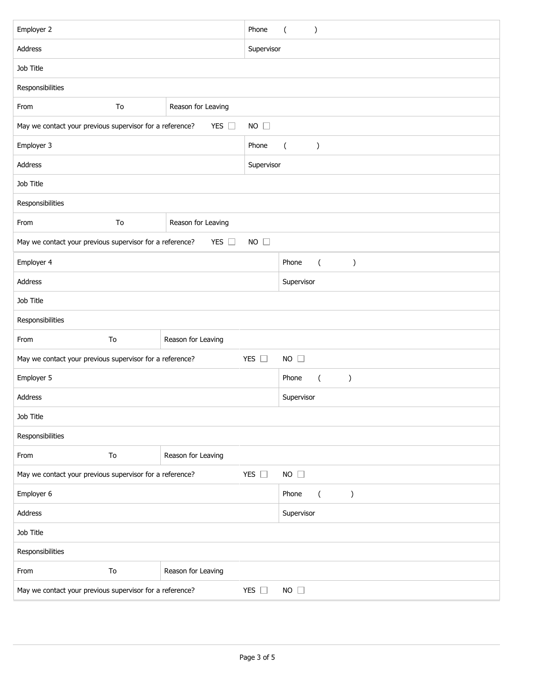| Employer 2                                                                                |                          |                    | Phone       | $\overline{(\ }$<br>$\mathcal{C}$          |  |  |  |
|-------------------------------------------------------------------------------------------|--------------------------|--------------------|-------------|--------------------------------------------|--|--|--|
| Address                                                                                   |                          |                    |             | Supervisor                                 |  |  |  |
| Job Title                                                                                 |                          |                    |             |                                            |  |  |  |
| Responsibilities                                                                          |                          |                    |             |                                            |  |  |  |
| From                                                                                      | To                       | Reason for Leaving |             |                                            |  |  |  |
| May we contact your previous supervisor for a reference?<br>YES $\Box$<br>$NO \square$    |                          |                    |             |                                            |  |  |  |
| Employer 3<br>Phone                                                                       |                          |                    |             | $\overline{(\ }$<br>$\mathcal{C}^{\prime}$ |  |  |  |
| Address                                                                                   |                          |                    |             | Supervisor                                 |  |  |  |
| Job Title                                                                                 |                          |                    |             |                                            |  |  |  |
| Responsibilities                                                                          |                          |                    |             |                                            |  |  |  |
| From                                                                                      | Reason for Leaving<br>To |                    |             |                                            |  |  |  |
| May we contact your previous supervisor for a reference?<br>YES $\square$<br>$NO \square$ |                          |                    |             |                                            |  |  |  |
| Employer 4                                                                                |                          |                    |             | Phone<br>$\overline{(\ }$<br>$\mathcal{E}$ |  |  |  |
| Address                                                                                   |                          |                    |             | Supervisor                                 |  |  |  |
| Job Title                                                                                 |                          |                    |             |                                            |  |  |  |
| Responsibilities                                                                          |                          |                    |             |                                            |  |  |  |
| From                                                                                      | To                       | Reason for Leaving |             |                                            |  |  |  |
| May we contact your previous supervisor for a reference?<br>YES $\square$                 |                          |                    | $NO$ $\Box$ |                                            |  |  |  |
| Employer 5                                                                                |                          |                    |             | Phone<br>$\lambda$<br>$\overline{(\ }$     |  |  |  |
| Address                                                                                   |                          |                    | Supervisor  |                                            |  |  |  |
| Job Title                                                                                 |                          |                    |             |                                            |  |  |  |
| Responsibilities                                                                          |                          |                    |             |                                            |  |  |  |
| From                                                                                      | To                       | Reason for Leaving |             |                                            |  |  |  |
| YES $\square$<br>NO $\square$<br>May we contact your previous supervisor for a reference? |                          |                    |             |                                            |  |  |  |
| Employer 6                                                                                |                          |                    |             | Phone<br>$\overline{(\ }$<br>)             |  |  |  |
| Address                                                                                   |                          |                    |             | Supervisor                                 |  |  |  |
| Job Title                                                                                 |                          |                    |             |                                            |  |  |  |
| Responsibilities                                                                          |                          |                    |             |                                            |  |  |  |
| From                                                                                      | To                       | Reason for Leaving |             |                                            |  |  |  |
| May we contact your previous supervisor for a reference?<br>YES $\square$                 |                          |                    |             | $NO$ $\Box$                                |  |  |  |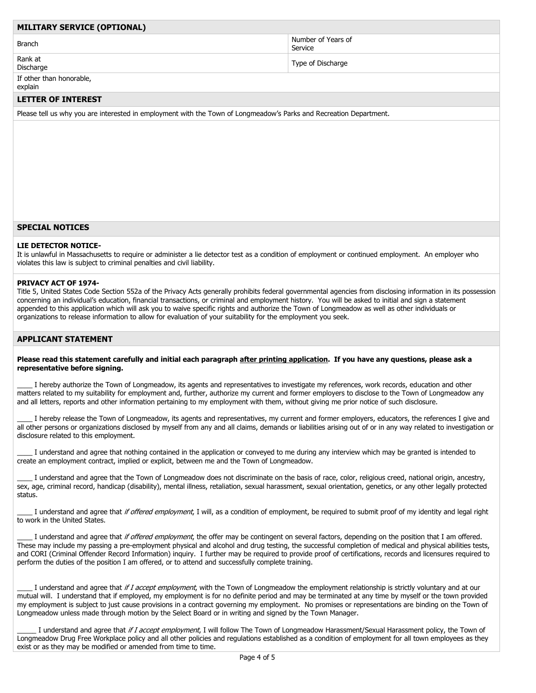## **MILITARY SERVICE (OPTIONAL)**

Branch Number of Years of Number of Years of

Rank at Natik at a strong of Discharge Type of Discharge Type of Discharge

If other than honorable, explain

#### **LETTER OF INTEREST**

Please tell us why you are interested in employment with the Town of Longmeadow's Parks and Recreation Department.

### **SPECIAL NOTICES**

#### **LIE DETECTOR NOTICE-**

It is unlawful in Massachusetts to require or administer a lie detector test as a condition of employment or continued employment. An employer who violates this law is subject to criminal penalties and civil liability.

Service

#### **PRIVACY ACT OF 1974-**

Title 5, United States Code Section 552a of the Privacy Acts generally prohibits federal governmental agencies from disclosing information in its possession concerning an individual's education, financial transactions, or criminal and employment history. You will be asked to initial and sign a statement appended to this application which will ask you to waive specific rights and authorize the Town of Longmeadow as well as other individuals or organizations to release information to allow for evaluation of your suitability for the employment you seek.

#### **APPLICANT STATEMENT**

#### **Please read this statement carefully and initial each paragraph after printing application. If you have any questions, please ask a representative before signing.**

I hereby authorize the Town of Longmeadow, its agents and representatives to investigate my references, work records, education and other matters related to my suitability for employment and, further, authorize my current and former employers to disclose to the Town of Longmeadow any and all letters, reports and other information pertaining to my employment with them, without giving me prior notice of such disclosure.

I hereby release the Town of Longmeadow, its agents and representatives, my current and former employers, educators, the references I give and all other persons or organizations disclosed by myself from any and all claims, demands or liabilities arising out of or in any way related to investigation or disclosure related to this employment.

I understand and agree that nothing contained in the application or conveyed to me during any interview which may be granted is intended to create an employment contract, implied or explicit, between me and the Town of Longmeadow.

I understand and agree that the Town of Longmeadow does not discriminate on the basis of race, color, religious creed, national origin, ancestry, sex, age, criminal record, handicap (disability), mental illness, retaliation, sexual harassment, sexual orientation, genetics, or any other legally protected status.

I understand and agree that if offered employment, I will, as a condition of employment, be required to submit proof of my identity and legal right to work in the United States.

I understand and agree that if offered employment, the offer may be contingent on several factors, depending on the position that I am offered. These may include my passing a pre-employment physical and alcohol and drug testing, the successful completion of medical and physical abilities tests, and CORI (Criminal Offender Record Information) inquiry. I further may be required to provide proof of certifications, records and licensures required to perform the duties of the position I am offered, or to attend and successfully complete training.

I understand and agree that if I accept employment, with the Town of Longmeadow the employment relationship is strictly voluntary and at our mutual will. I understand that if employed, my employment is for no definite period and may be terminated at any time by myself or the town provided my employment is subject to just cause provisions in a contract governing my employment. No promises or representations are binding on the Town of Longmeadow unless made through motion by the Select Board or in writing and signed by the Town Manager.

I understand and agree that if I accept employment, I will follow The Town of Longmeadow Harassment/Sexual Harassment policy, the Town of Longmeadow Drug Free Workplace policy and all other policies and regulations established as a condition of employment for all town employees as they exist or as they may be modified or amended from time to time.